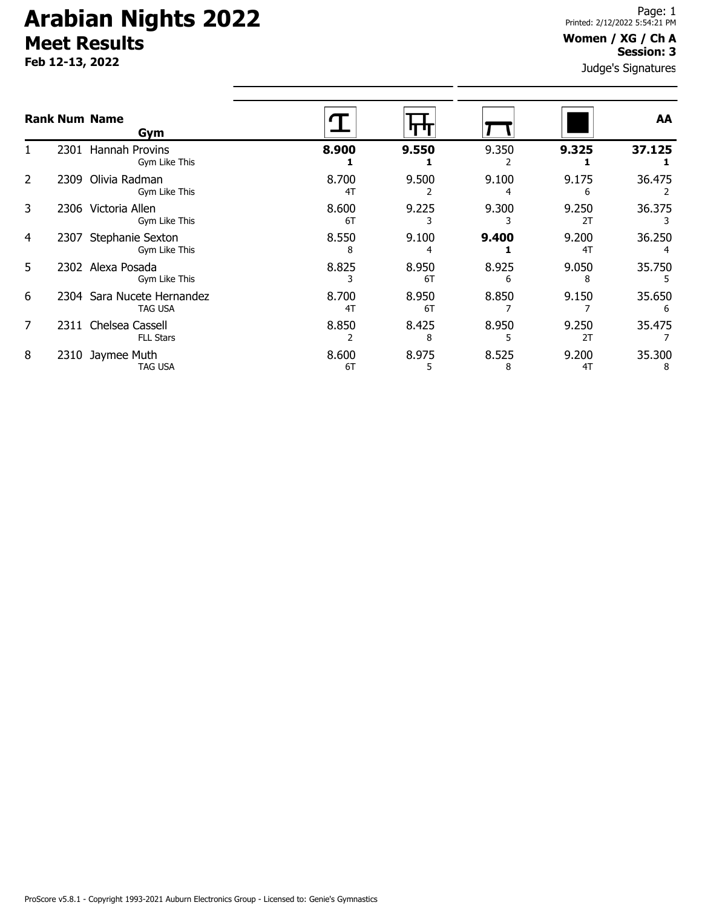# **Arabian Nights 2022 Meet Results**

**Feb 12-13, 2022**

#### **Women / XG / Ch A Session: 3**

Judge's Signatures

|   |      | <b>Rank Num Name</b><br>Gym                  |             |             |            |             | AA          |
|---|------|----------------------------------------------|-------------|-------------|------------|-------------|-------------|
|   | 2301 | Hannah Provins<br>Gym Like This              | 8.900       | 9.550       | 9.350      | 9.325       | 37.125      |
| 2 | 2309 | Olivia Radman<br>Gym Like This               | 8.700<br>4T | 9.500       | 9.100      | 9.175<br>6  | 36.475      |
| 3 |      | 2306 Victoria Allen<br>Gym Like This         | 8.600<br>6T | 9.225       | 9.300      | 9.250<br>2T | 36.375      |
| 4 | 2307 | Stephanie Sexton<br>Gym Like This            | 8.550<br>8  | 9.100       | 9.400      | 9.200<br>4T | 36.250      |
| 5 |      | 2302 Alexa Posada<br>Gym Like This           | 8.825       | 8.950<br>6T | 8.925      | 9.050<br>8  | 35.750      |
| 6 |      | 2304 Sara Nucete Hernandez<br><b>TAG USA</b> | 8.700<br>4T | 8.950<br>6T | 8.850      | 9.150       | 35.650      |
| 7 |      | 2311 Chelsea Cassell<br><b>FLL Stars</b>     | 8.850       | 8.425<br>8  | 8.950      | 9.250<br>2T | 35.475      |
| 8 |      | 2310 Jaymee Muth<br>TAG USA                  | 8.600<br>6T | 8.975       | 8.525<br>8 | 9.200<br>4T | 35.300<br>8 |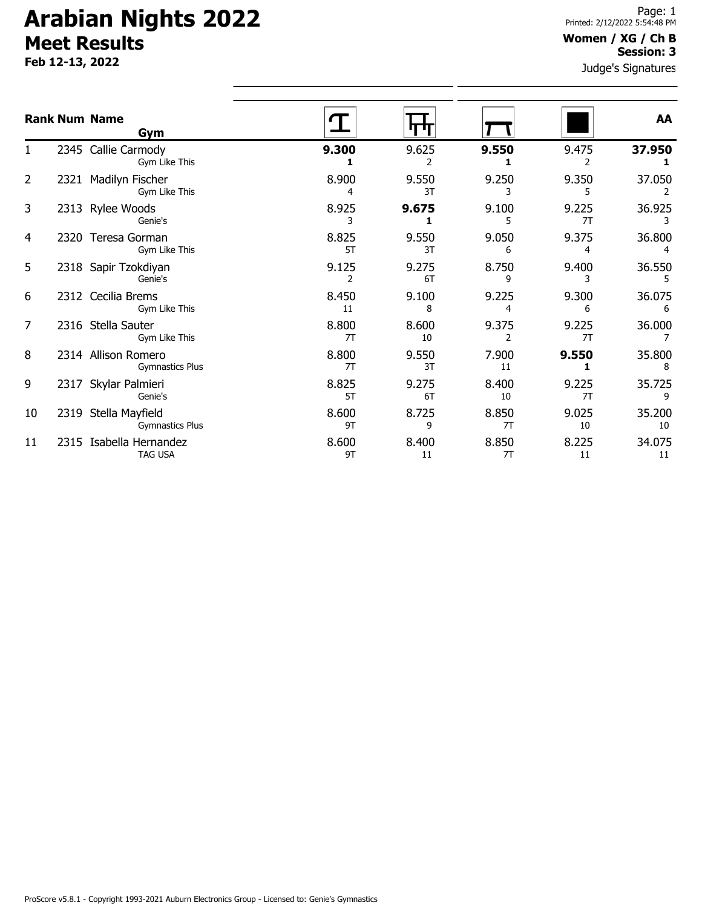# **Arabian Nights 2022 Meet Results**

**Feb 12-13, 2022**

### **Women / XG / Ch B Session: 3**

Judge's Signatures

|                | <b>Rank Num Name</b><br>Gym                   |             |             |                         |             | AA           |
|----------------|-----------------------------------------------|-------------|-------------|-------------------------|-------------|--------------|
|                | 2345 Callie Carmody<br>Gym Like This          | 9.300       | 9.625<br>2  | 9.550                   | 9.475<br>2  | 37.950       |
| $\overline{2}$ | 2321 Madilyn Fischer<br>Gym Like This         | 8.900       | 9.550<br>3T | 9.250                   | 9.350<br>5  | 37.050       |
| 3              | 2313 Rylee Woods<br>Genie's                   | 8.925<br>3  | 9.675<br>1  | 9.100<br>5              | 9.225<br>7T | 36.925       |
| 4              | 2320 Teresa Gorman<br>Gym Like This           | 8.825<br>5T | 9.550<br>3T | 9.050<br>6              | 9.375<br>4  | 36.800       |
| 5              | 2318 Sapir Tzokdiyan<br>Genie's               | 9.125<br>2  | 9.275<br>6T | 8.750<br>9              | 9.400<br>3  | 36.550<br>5  |
| 6              | 2312 Cecilia Brems<br>Gym Like This           | 8.450<br>11 | 9.100<br>8  | 9.225<br>4              | 9.300<br>6  | 36.075<br>6  |
| 7              | 2316 Stella Sauter<br>Gym Like This           | 8.800<br>7T | 8.600<br>10 | 9.375<br>$\overline{2}$ | 9.225<br>7T | 36.000       |
| 8              | 2314 Allison Romero<br><b>Gymnastics Plus</b> | 8.800<br>7T | 9.550<br>3T | 7.900<br>11             | 9.550<br>1  | 35.800<br>8  |
| 9              | 2317 Skylar Palmieri<br>Genie's               | 8.825<br>5T | 9.275<br>6T | 8.400<br>10             | 9.225<br>7T | 35.725<br>9  |
| 10             | 2319 Stella Mayfield<br>Gymnastics Plus       | 8.600<br>9T | 8.725<br>9  | 8.850<br>7T             | 9.025<br>10 | 35.200<br>10 |
| 11             | 2315 Isabella Hernandez<br><b>TAG USA</b>     | 8.600<br>9T | 8.400<br>11 | 8.850<br>7T             | 8.225<br>11 | 34.075<br>11 |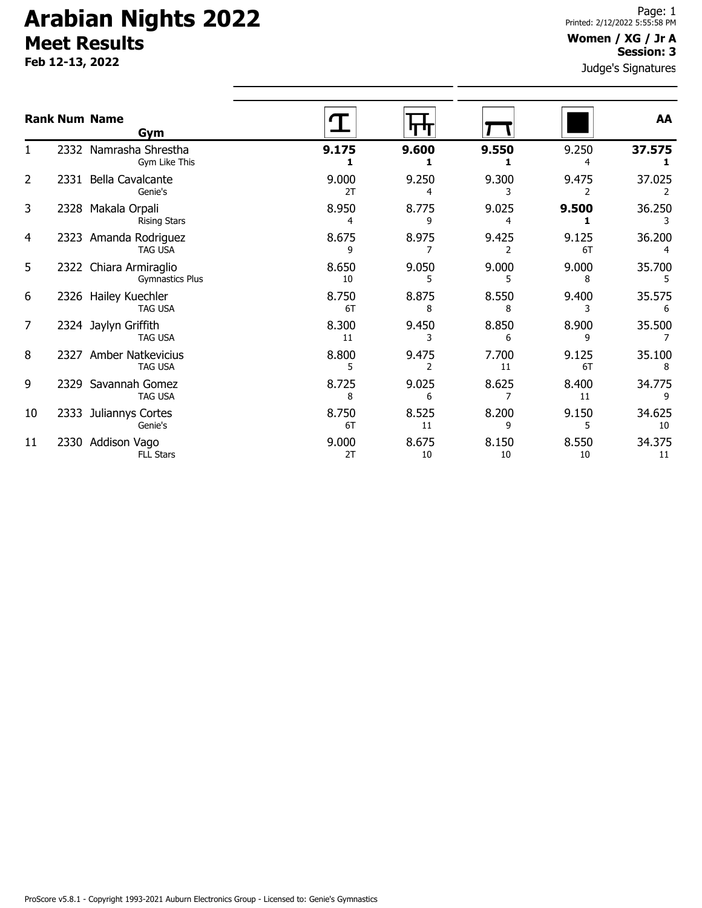# **Arabian Nights 2022 Meet Results**

**Feb 12-13, 2022**

#### **Women / XG / Jr A Session: 3**

Judge's Signatures

|    | <b>Rank Num Name</b><br>Gym                      |             |             |             |             | AA           |
|----|--------------------------------------------------|-------------|-------------|-------------|-------------|--------------|
|    | 2332 Namrasha Shrestha<br>Gym Like This          | 9.175       | 9.600       | 9.550       | 9.250       | 37.575       |
| 2  | 2331 Bella Cavalcante<br>Genie's                 | 9.000<br>2T | 9.250       | 9.300       | 9.475       | 37.025       |
| 3  | 2328 Makala Orpali<br><b>Rising Stars</b>        | 8.950<br>4  | 8.775<br>٩  | 9.025       | 9.500       | 36.250       |
| 4  | 2323 Amanda Rodriguez<br><b>TAG USA</b>          | 8.675<br>٩  | 8.975       | 9.425       | 9.125<br>6T | 36.200       |
| 5  | 2322 Chiara Armiraglio<br><b>Gymnastics Plus</b> | 8.650<br>10 | 9.050       | 9.000       | 9.000<br>8  | 35.700       |
| 6  | 2326 Hailey Kuechler<br><b>TAG USA</b>           | 8.750<br>6T | 8.875<br>8  | 8.550<br>8  | 9.400       | 35.575<br>6  |
| 7  | 2324 Jaylyn Griffith<br><b>TAG USA</b>           | 8.300<br>11 | 9.450       | 8.850<br>6  | 8.900       | 35.500       |
| 8  | 2327 Amber Natkevicius<br><b>TAG USA</b>         | 8.800       | 9.475       | 7.700<br>11 | 9.125<br>6T | 35.100<br>8  |
| 9  | 2329 Savannah Gomez<br><b>TAG USA</b>            | 8.725<br>8  | 9.025<br>6  | 8.625       | 8.400<br>11 | 34.775       |
| 10 | 2333 Juliannys Cortes<br>Genie's                 | 8.750<br>6T | 8.525<br>11 | 8.200<br>9  | 9.150       | 34.625<br>10 |
| 11 | 2330 Addison Vago<br><b>FLL Stars</b>            | 9.000<br>2T | 8.675<br>10 | 8.150<br>10 | 8.550<br>10 | 34.375<br>11 |